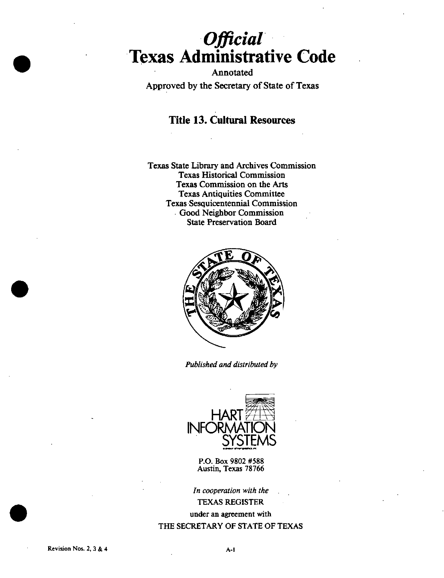# Official Texas Administrative Code

Annotated Approved by the Secretary of State of Texas

### Title 13. Cultural Resources

Texas State Library and Archives Commission Texas Historical Commission Texas Commission on the Arts Texas Antiquities Committee Texas Sesquicentenniai Commission Good Neighbor Commission State Preservation Board



Published and distributed by



P.O. Box 9802 #588 Austin, Texas 78766

In cooperation with the TEXAS REGISTER

under an agreement with THE SECRETARY OF STATE OF TEXAS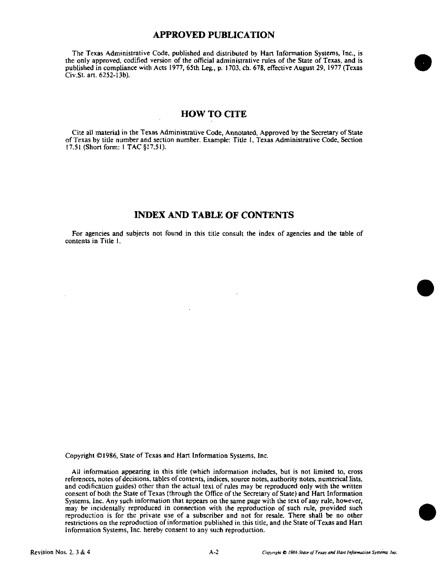#### APPROVED PUBLICATION

The Texas Administrative Code, published and distributed by Hart Information Systems, Inc., is the only approved, codified version of the official administrative rules of the State of Texas, and is published in compliance with Acts 1977, 65th Leg., p. 1703, ch. 678, effective August 29, 1977 (Texas Civ.St. art. 6252-13b).

#### HOW TO CITE

Cite all material in the Texas Administrative Code, Annotated; Approved by the Secretary of State of Texas by title number and section number. Example: Title 1, Texas Administrative Code, Section 17.51 (Short form: 1 TAC §17.51).

#### INDEX AND TABLE OF CONTENTS

For agencies and subjects not found in this title consult the index of agencies and the table of contents in Title 1.

Copyright ©1986, State of Texas and Hart Information Systems, Inc.

All information appearing in this title (which information includes, but is not limited to, cross references, notes of decisions, tables of contents, indices, source notes, authority notes, numerical lists, and codification guides) other than the actual text of rules may be reproduced only with the written consent of both the State of Texas (through the Office of the Secretary of State) and Hart Information Systems, Inc. Any such information that appears on the same page with the text of any rule, however, may be incidentally reproduced in connection with the reproduction of such rule, provided such reproduction is for the private use of a subscriber and not for resale. There shall be no other restrictions on the reproduction of information published in this title, and the State of Texas and Hart information Systems, Inc. hereby consent to any such reproduction.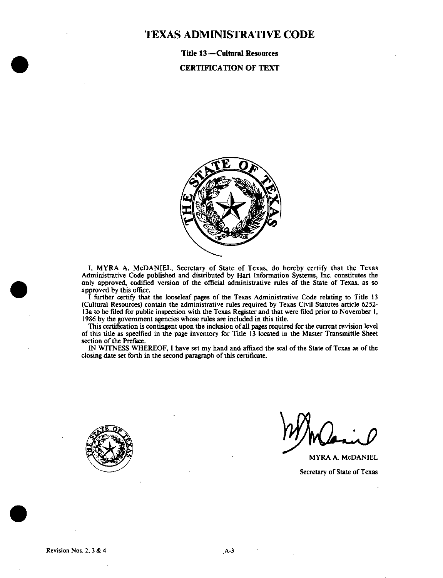#### TEXAS ADMINISTRATIVE CODE

Title 13—Cultural Resources CERTIFICATION OF TEXT



I, MYRA A. McDANIEL, Secretary of State of Texas, do hereby certify that the Texas Administrative Code published and distributed by Hart Information Systems, Inc. constitutes the only approved, codified version of the official administrative rules of the State of Texas, as so approved by this office.

I further certify that the looseleaf pages of the Texas Administrative Code relating to Title 13 (Cultural Resources) contain the administrative rules required by Texas Civil Statutes article 6252- 13a to be filed for public inspection with the Texas Register and that were filed prior to November I, 1986 by the government agencies whose rules are included in this title.

This certification is contingent upon the inclusion of all pages required for the current revision level of this title as specified in the page inventory for Title 13 located in the Master Transmittle Sheet section of the Preface.

IN WITNESS WHEREOF, I have set my hand and affixed the seal of the Stale of Texas as of the closing date set forth in the second paragraph of this certificate.



MYRA A. McDANIEL Secretary of State of Texas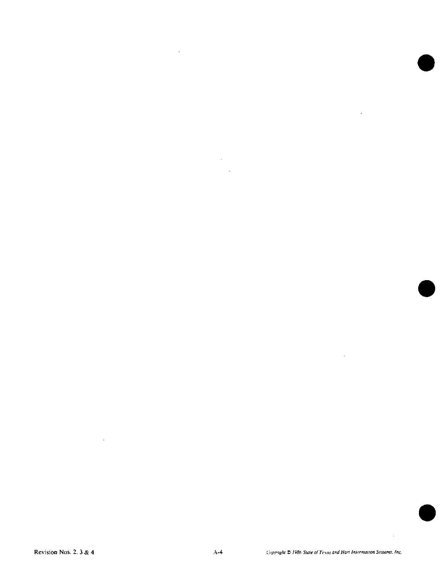Revision Nos. 2. 3 & 4

 $\bar{z}$ 

 $\ddot{\phantom{a}}$ 

 $\ddot{\phantom{a}}$ 

 $\lambda$ 

 $\bar{z}$ 

 $\sim$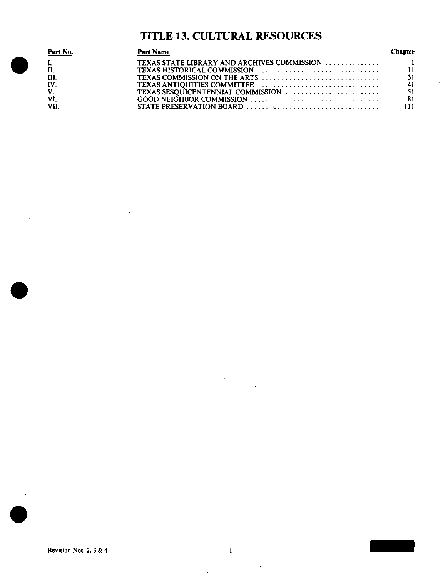## TITLE 13. CULTURAL RESOURCES

 $\bar{\mathbf{I}}$ 

| I.   |
|------|
| II.  |
| III. |
| IV   |
| V    |
| VI.  |
| VII. |

| <b>Part Name</b>                                                                                        | <b>Chapter</b> |
|---------------------------------------------------------------------------------------------------------|----------------|
|                                                                                                         |                |
|                                                                                                         |                |
|                                                                                                         |                |
|                                                                                                         |                |
|                                                                                                         |                |
| GOOD NEIGHBOR COMMISSION $\ldots \ldots \ldots \ldots \ldots \ldots \ldots \ldots \ldots \ldots \ldots$ |                |
|                                                                                                         |                |
|                                                                                                         |                |